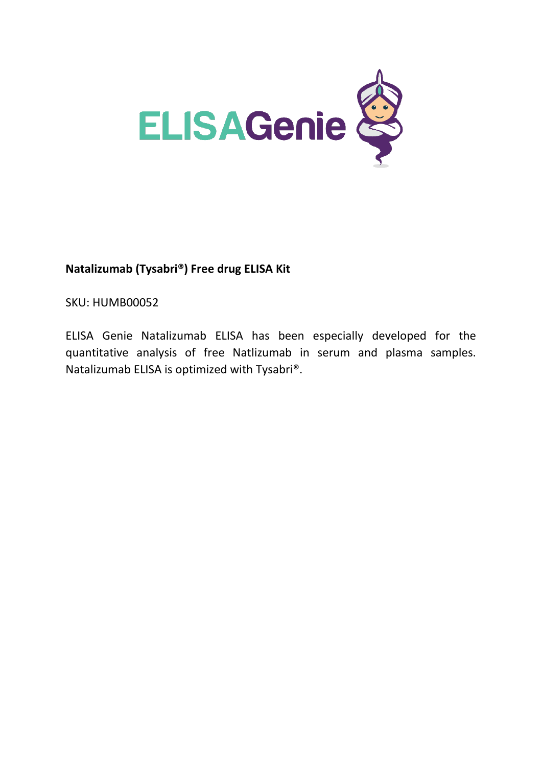

# **Natalizumab (Tysabri®) Free drug ELISA Kit**

SKU: HUMB00052

ELISA Genie Natalizumab ELISA has been especially developed for the quantitative analysis of free Natlizumab in serum and plasma samples. Natalizumab ELISA is optimized with Tysabri®.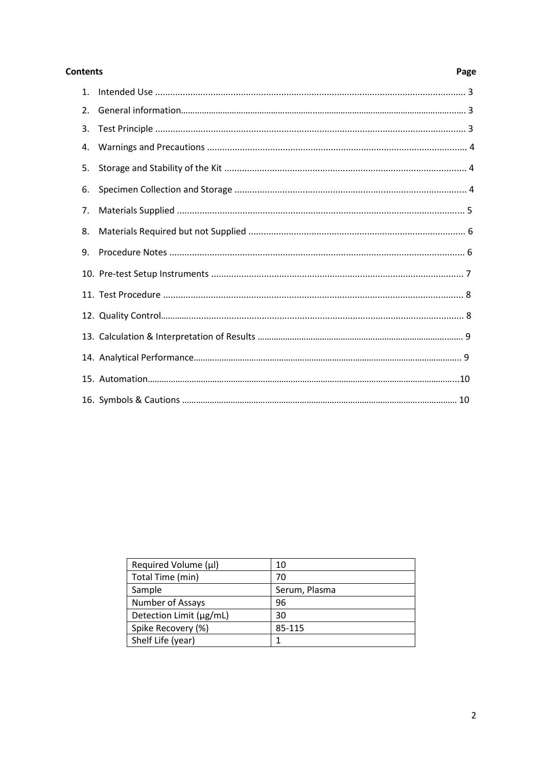#### **Contents**

# Page

| 2. |  |
|----|--|
| 3. |  |
| 4. |  |
| 5. |  |
| 6. |  |
| 7. |  |
| 8. |  |
| 9. |  |
|    |  |
|    |  |
|    |  |
|    |  |
|    |  |
|    |  |
|    |  |

| Required Volume (µl)    | 10            |  |
|-------------------------|---------------|--|
| Total Time (min)        | 70            |  |
| Sample                  | Serum, Plasma |  |
| Number of Assays        | 96            |  |
| Detection Limit (µg/mL) | 30            |  |
| Spike Recovery (%)      | 85-115        |  |
| Shelf Life (year)       |               |  |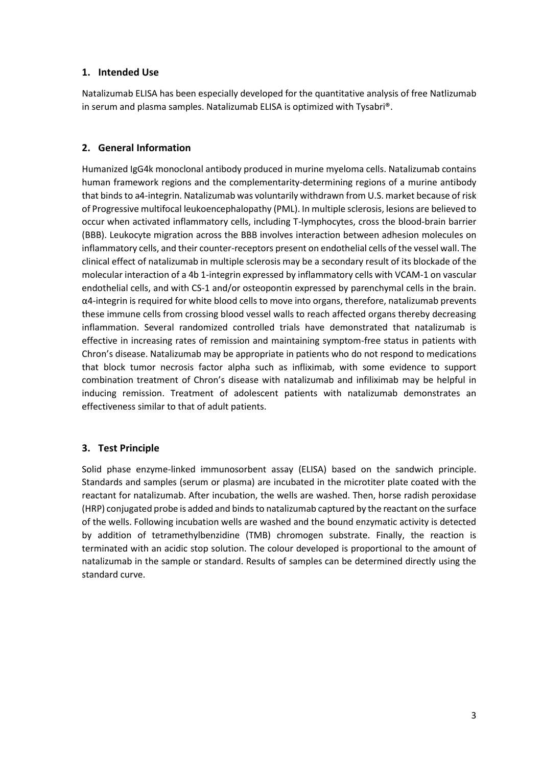## **1. Intended Use**

Natalizumab ELISA has been especially developed for the quantitative analysis of free Natlizumab in serum and plasma samples. Natalizumab ELISA is optimized with Tysabri®.

## **2. General Information**

Humanized IgG4k monoclonal antibody produced in murine myeloma cells. Natalizumab contains human framework regions and the complementarity-determining regions of a murine antibody that binds to a4-integrin. Natalizumab was voluntarily withdrawn from U.S. market because of risk of Progressive multifocal leukoencephalopathy (PML). In multiple sclerosis, lesions are believed to occur when activated inflammatory cells, including T-lymphocytes, cross the blood-brain barrier (BBB). Leukocyte migration across the BBB involves interaction between adhesion molecules on inflammatory cells, and their counter-receptors present on endothelial cells of the vessel wall. The clinical effect of natalizumab in multiple sclerosis may be a secondary result of its blockade of the molecular interaction of a 4b 1-integrin expressed by inflammatory cells with VCAM-1 on vascular endothelial cells, and with CS-1 and/or osteopontin expressed by parenchymal cells in the brain. α4-integrin is required for white blood cells to move into organs, therefore, natalizumab prevents these immune cells from crossing blood vessel walls to reach affected organs thereby decreasing inflammation. Several randomized controlled trials have demonstrated that natalizumab is effective in increasing rates of remission and maintaining symptom-free status in patients with Chron's disease. Natalizumab may be appropriate in patients who do not respond to medications that block tumor necrosis factor alpha such as infliximab, with some evidence to support combination treatment of Chron's disease with natalizumab and infiliximab may be helpful in inducing remission. Treatment of adolescent patients with natalizumab demonstrates an effectiveness similar to that of adult patients.

## **3. Test Principle**

Solid phase enzyme-linked immunosorbent assay (ELISA) based on the sandwich principle. Standards and samples (serum or plasma) are incubated in the microtiter plate coated with the reactant for natalizumab. After incubation, the wells are washed. Then, horse radish peroxidase (HRP) conjugated probe is added and binds to natalizumab captured by the reactant on the surface of the wells. Following incubation wells are washed and the bound enzymatic activity is detected by addition of tetramethylbenzidine (TMB) chromogen substrate. Finally, the reaction is terminated with an acidic stop solution. The colour developed is proportional to the amount of natalizumab in the sample or standard. Results of samples can be determined directly using the standard curve.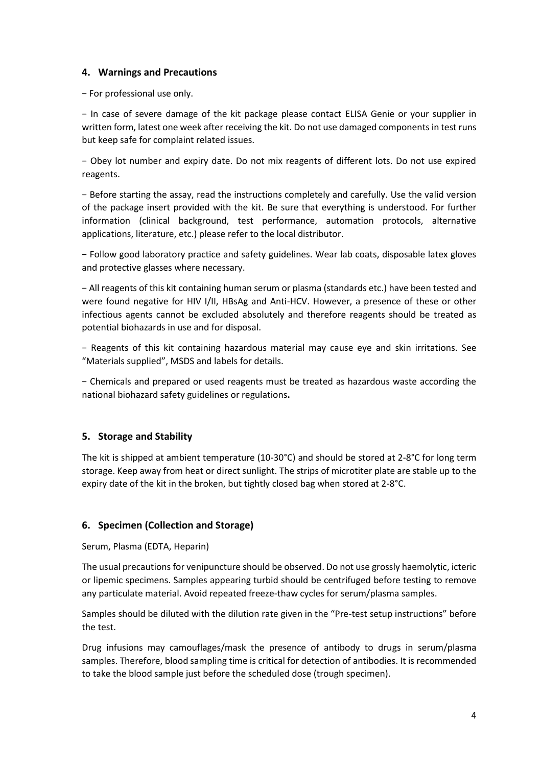### **4. Warnings and Precautions**

− For professional use only.

− In case of severe damage of the kit package please contact ELISA Genie or your supplier in written form, latest one week after receiving the kit. Do not use damaged components in test runs but keep safe for complaint related issues.

− Obey lot number and expiry date. Do not mix reagents of different lots. Do not use expired reagents.

− Before starting the assay, read the instructions completely and carefully. Use the valid version of the package insert provided with the kit. Be sure that everything is understood. For further information (clinical background, test performance, automation protocols, alternative applications, literature, etc.) please refer to the local distributor.

− Follow good laboratory practice and safety guidelines. Wear lab coats, disposable latex gloves and protective glasses where necessary.

− All reagents of this kit containing human serum or plasma (standards etc.) have been tested and were found negative for HIV I/II, HBsAg and Anti-HCV. However, a presence of these or other infectious agents cannot be excluded absolutely and therefore reagents should be treated as potential biohazards in use and for disposal.

− Reagents of this kit containing hazardous material may cause eye and skin irritations. See "Materials supplied", MSDS and labels for details.

− Chemicals and prepared or used reagents must be treated as hazardous waste according the national biohazard safety guidelines or regulations**.**

## **5. Storage and Stability**

The kit is shipped at ambient temperature (10-30°C) and should be stored at 2-8°C for long term storage. Keep away from heat or direct sunlight. The strips of microtiter plate are stable up to the expiry date of the kit in the broken, but tightly closed bag when stored at 2-8°C.

#### **6. Specimen (Collection and Storage)**

Serum, Plasma (EDTA, Heparin)

The usual precautions for venipuncture should be observed. Do not use grossly haemolytic, icteric or lipemic specimens. Samples appearing turbid should be centrifuged before testing to remove any particulate material. Avoid repeated freeze-thaw cycles for serum/plasma samples.

Samples should be diluted with the dilution rate given in the "Pre-test setup instructions" before the test.

Drug infusions may camouflages/mask the presence of antibody to drugs in serum/plasma samples. Therefore, blood sampling time is critical for detection of antibodies. It is recommended to take the blood sample just before the scheduled dose (trough specimen).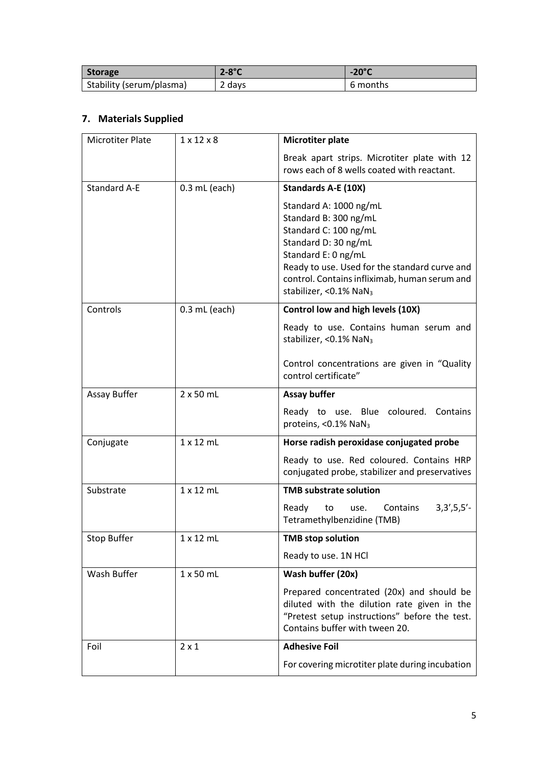| Storage                  | $2-8$ °C | $-20^{\circ}$ C |
|--------------------------|----------|-----------------|
| Stability (serum/plasma) | 2 days   | 6 months        |

# **7. Materials Supplied**

| <b>Microtiter Plate</b>                | $1 \times 12 \times 8$ | <b>Microtiter plate</b>                                                                                                                                                                                                                                          |  |
|----------------------------------------|------------------------|------------------------------------------------------------------------------------------------------------------------------------------------------------------------------------------------------------------------------------------------------------------|--|
|                                        |                        | Break apart strips. Microtiter plate with 12<br>rows each of 8 wells coated with reactant.                                                                                                                                                                       |  |
| <b>Standard A-E</b><br>$0.3$ mL (each) |                        | <b>Standards A-E (10X)</b>                                                                                                                                                                                                                                       |  |
|                                        |                        | Standard A: 1000 ng/mL<br>Standard B: 300 ng/mL<br>Standard C: 100 ng/mL<br>Standard D: 30 ng/mL<br>Standard E: 0 ng/mL<br>Ready to use. Used for the standard curve and<br>control. Contains infliximab, human serum and<br>stabilizer, < 0.1% NaN <sub>3</sub> |  |
| Controls                               | $0.3$ mL (each)        | Control low and high levels (10X)                                                                                                                                                                                                                                |  |
|                                        |                        | Ready to use. Contains human serum and<br>stabilizer, <0.1% NaN <sub>3</sub>                                                                                                                                                                                     |  |
|                                        |                        | Control concentrations are given in "Quality<br>control certificate"                                                                                                                                                                                             |  |
| Assay Buffer                           | $2x50$ mL              | <b>Assay buffer</b>                                                                                                                                                                                                                                              |  |
|                                        |                        | Ready to use. Blue coloured. Contains<br>proteins, <0.1% NaN <sub>3</sub>                                                                                                                                                                                        |  |
| Conjugate                              | $1 \times 12$ mL       | Horse radish peroxidase conjugated probe                                                                                                                                                                                                                         |  |
|                                        |                        | Ready to use. Red coloured. Contains HRP<br>conjugated probe, stabilizer and preservatives                                                                                                                                                                       |  |
| Substrate                              | $1 \times 12$ mL       | <b>TMB substrate solution</b>                                                                                                                                                                                                                                    |  |
|                                        |                        | $3,3',5,5'-$<br>Ready<br>Contains<br>to<br>use.<br>Tetramethylbenzidine (TMB)                                                                                                                                                                                    |  |
| <b>Stop Buffer</b>                     | $1 \times 12$ mL       | <b>TMB stop solution</b>                                                                                                                                                                                                                                         |  |
|                                        |                        | Ready to use. 1N HCl                                                                                                                                                                                                                                             |  |
| Wash Buffer                            | $1 \times 50$ mL       | Wash buffer (20x)                                                                                                                                                                                                                                                |  |
|                                        |                        | Prepared concentrated (20x) and should be<br>diluted with the dilution rate given in the<br>"Pretest setup instructions" before the test.<br>Contains buffer with tween 20.                                                                                      |  |
| Foil                                   | $2 \times 1$           | <b>Adhesive Foil</b>                                                                                                                                                                                                                                             |  |
|                                        |                        | For covering microtiter plate during incubation                                                                                                                                                                                                                  |  |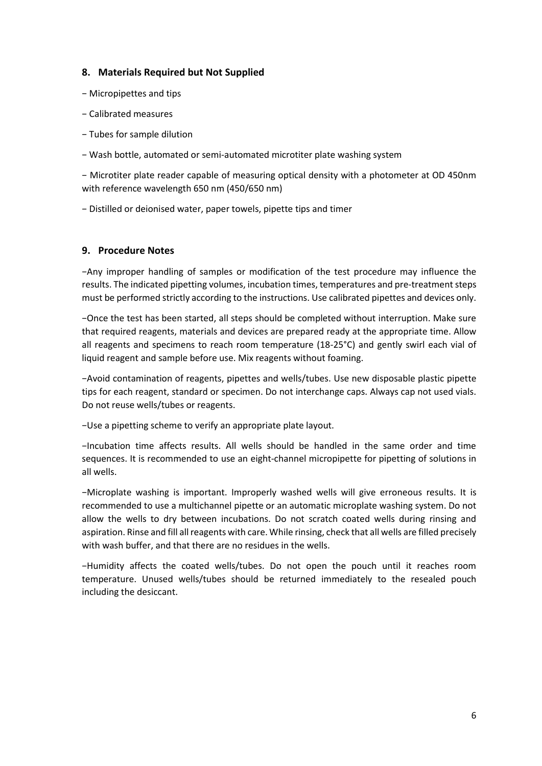#### **8. Materials Required but Not Supplied**

- − Micropipettes and tips
- − Calibrated measures
- − Tubes for sample dilution
- − Wash bottle, automated or semi-automated microtiter plate washing system

− Microtiter plate reader capable of measuring optical density with a photometer at OD 450nm with reference wavelength 650 nm (450/650 nm)

− Distilled or deionised water, paper towels, pipette tips and timer

#### **9. Procedure Notes**

−Any improper handling of samples or modification of the test procedure may influence the results. The indicated pipetting volumes, incubation times, temperatures and pre-treatment steps must be performed strictly according to the instructions. Use calibrated pipettes and devices only.

−Once the test has been started, all steps should be completed without interruption. Make sure that required reagents, materials and devices are prepared ready at the appropriate time. Allow all reagents and specimens to reach room temperature (18-25°C) and gently swirl each vial of liquid reagent and sample before use. Mix reagents without foaming.

−Avoid contamination of reagents, pipettes and wells/tubes. Use new disposable plastic pipette tips for each reagent, standard or specimen. Do not interchange caps. Always cap not used vials. Do not reuse wells/tubes or reagents.

−Use a pipetting scheme to verify an appropriate plate layout.

−Incubation time affects results. All wells should be handled in the same order and time sequences. It is recommended to use an eight-channel micropipette for pipetting of solutions in all wells.

−Microplate washing is important. Improperly washed wells will give erroneous results. It is recommended to use a multichannel pipette or an automatic microplate washing system. Do not allow the wells to dry between incubations. Do not scratch coated wells during rinsing and aspiration. Rinse and fill all reagents with care. While rinsing, check that all wells are filled precisely with wash buffer, and that there are no residues in the wells.

−Humidity affects the coated wells/tubes. Do not open the pouch until it reaches room temperature. Unused wells/tubes should be returned immediately to the resealed pouch including the desiccant.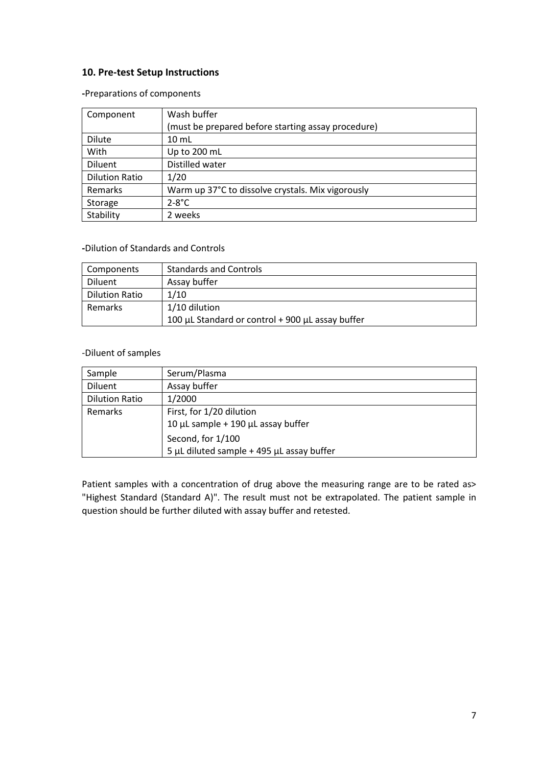## **10. Pre-test Setup Instructions**

**-**Preparations of components

| Component             | Wash buffer                                        |  |  |
|-----------------------|----------------------------------------------------|--|--|
|                       | (must be prepared before starting assay procedure) |  |  |
| Dilute                | $10 \mathrm{m}$ L                                  |  |  |
| With                  | Up to 200 mL                                       |  |  |
| Diluent               | Distilled water                                    |  |  |
| <b>Dilution Ratio</b> | 1/20                                               |  |  |
| Remarks               | Warm up 37°C to dissolve crystals. Mix vigorously  |  |  |
| Storage               | $2-8$ °C                                           |  |  |
| Stability             | 2 weeks                                            |  |  |

#### **-**Dilution of Standards and Controls

| Components            | <b>Standards and Controls</b>                    |
|-----------------------|--------------------------------------------------|
| Diluent               | Assay buffer                                     |
| <b>Dilution Ratio</b> | 1/10                                             |
| Remarks               | 1/10 dilution                                    |
|                       | 100 μL Standard or control + 900 μL assay buffer |

#### -Diluent of samples

| Sample                | Serum/Plasma                                 |
|-----------------------|----------------------------------------------|
| Diluent               | Assay buffer                                 |
| <b>Dilution Ratio</b> | 1/2000                                       |
| Remarks               | First, for 1/20 dilution                     |
|                       | 10 $\mu$ L sample + 190 $\mu$ L assay buffer |
|                       | Second, for 1/100                            |
|                       | 5 µL diluted sample $+$ 495 µL assay buffer  |

Patient samples with a concentration of drug above the measuring range are to be rated as> "Highest Standard (Standard A)". The result must not be extrapolated. The patient sample in question should be further diluted with assay buffer and retested.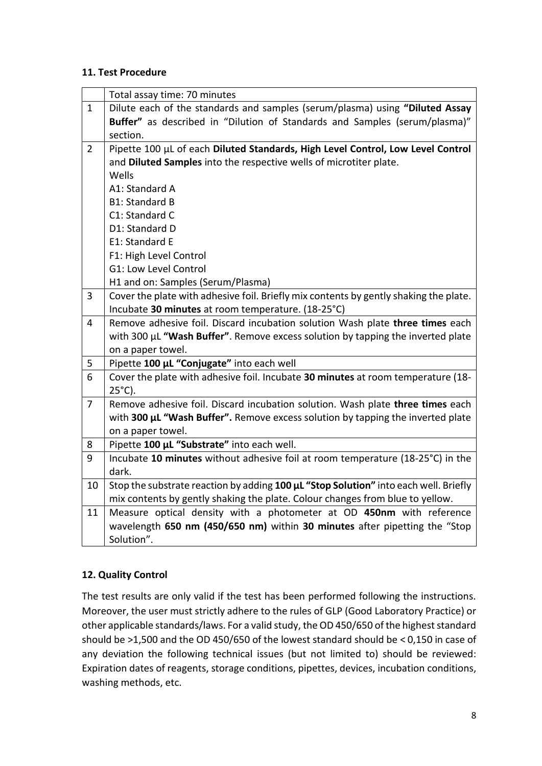## **11. Test Procedure**

|                | Total assay time: 70 minutes                                                          |  |  |
|----------------|---------------------------------------------------------------------------------------|--|--|
| $\mathbf{1}$   | Dilute each of the standards and samples (serum/plasma) using "Diluted Assay          |  |  |
|                | Buffer" as described in "Dilution of Standards and Samples (serum/plasma)"            |  |  |
|                | section.                                                                              |  |  |
| $\overline{2}$ | Pipette 100 µL of each Diluted Standards, High Level Control, Low Level Control       |  |  |
|                | and Diluted Samples into the respective wells of microtiter plate.                    |  |  |
|                | Wells                                                                                 |  |  |
|                | A1: Standard A                                                                        |  |  |
|                | <b>B1: Standard B</b>                                                                 |  |  |
|                | C1: Standard C                                                                        |  |  |
|                | D1: Standard D                                                                        |  |  |
|                | E1: Standard E                                                                        |  |  |
|                | F1: High Level Control                                                                |  |  |
|                | G1: Low Level Control                                                                 |  |  |
|                | H1 and on: Samples (Serum/Plasma)                                                     |  |  |
| 3              | Cover the plate with adhesive foil. Briefly mix contents by gently shaking the plate. |  |  |
|                | Incubate 30 minutes at room temperature. (18-25°C)                                    |  |  |
| 4              | Remove adhesive foil. Discard incubation solution Wash plate three times each         |  |  |
|                | with 300 µL "Wash Buffer". Remove excess solution by tapping the inverted plate       |  |  |
|                | on a paper towel.                                                                     |  |  |
| 5              | Pipette 100 µL "Conjugate" into each well                                             |  |  |
| 6              | Cover the plate with adhesive foil. Incubate 30 minutes at room temperature (18-      |  |  |
|                | $25^{\circ}$ C).                                                                      |  |  |
| $\overline{7}$ | Remove adhesive foil. Discard incubation solution. Wash plate three times each        |  |  |
|                | with 300 µL "Wash Buffer". Remove excess solution by tapping the inverted plate       |  |  |
|                | on a paper towel.                                                                     |  |  |
| 8              | Pipette 100 µL "Substrate" into each well.                                            |  |  |
| 9              | Incubate 10 minutes without adhesive foil at room temperature (18-25°C) in the        |  |  |
|                | dark.                                                                                 |  |  |
| 10             | Stop the substrate reaction by adding 100 µL "Stop Solution" into each well. Briefly  |  |  |
|                | mix contents by gently shaking the plate. Colour changes from blue to yellow.         |  |  |
| 11             | Measure optical density with a photometer at OD 450nm with reference                  |  |  |
|                | wavelength 650 nm (450/650 nm) within 30 minutes after pipetting the "Stop            |  |  |
|                | Solution".                                                                            |  |  |

# **12. Quality Control**

The test results are only valid if the test has been performed following the instructions. Moreover, the user must strictly adhere to the rules of GLP (Good Laboratory Practice) or other applicable standards/laws. For a valid study, the OD 450/650 of the highest standard should be >1,500 and the OD 450/650 of the lowest standard should be < 0,150 in case of any deviation the following technical issues (but not limited to) should be reviewed: Expiration dates of reagents, storage conditions, pipettes, devices, incubation conditions, washing methods, etc.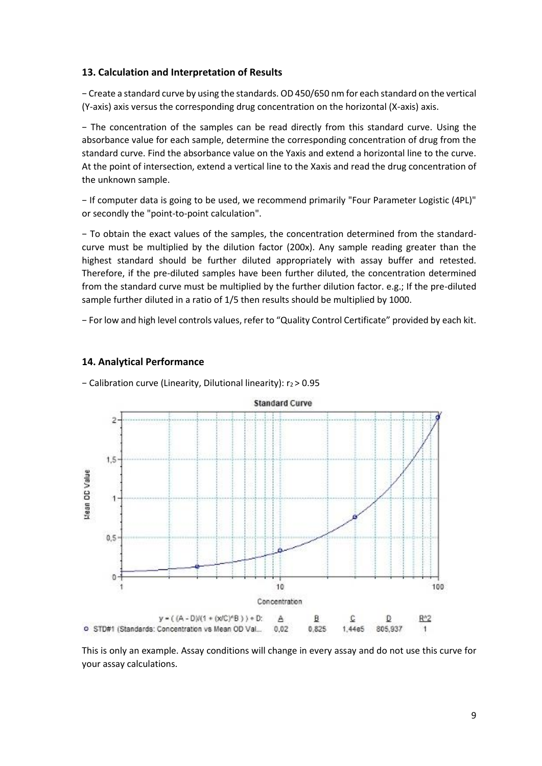#### **13. Calculation and Interpretation of Results**

− Create a standard curve by using the standards. OD 450/650 nm for each standard on the vertical (Y-axis) axis versus the corresponding drug concentration on the horizontal (X-axis) axis.

− The concentration of the samples can be read directly from this standard curve. Using the absorbance value for each sample, determine the corresponding concentration of drug from the standard curve. Find the absorbance value on the Yaxis and extend a horizontal line to the curve. At the point of intersection, extend a vertical line to the Xaxis and read the drug concentration of the unknown sample.

− If computer data is going to be used, we recommend primarily "Four Parameter Logistic (4PL)" or secondly the "point-to-point calculation".

− To obtain the exact values of the samples, the concentration determined from the standardcurve must be multiplied by the dilution factor (200x). Any sample reading greater than the highest standard should be further diluted appropriately with assay buffer and retested. Therefore, if the pre-diluted samples have been further diluted, the concentration determined from the standard curve must be multiplied by the further dilution factor. e.g.; If the pre-diluted sample further diluted in a ratio of 1/5 then results should be multiplied by 1000.

− For low and high level controls values, refer to "Quality Control Certificate" provided by each kit.

#### **14. Analytical Performance**

− Calibration curve (Linearity, Dilutional linearity): r<sup>2</sup> > 0.95



This is only an example. Assay conditions will change in every assay and do not use this curve for your assay calculations.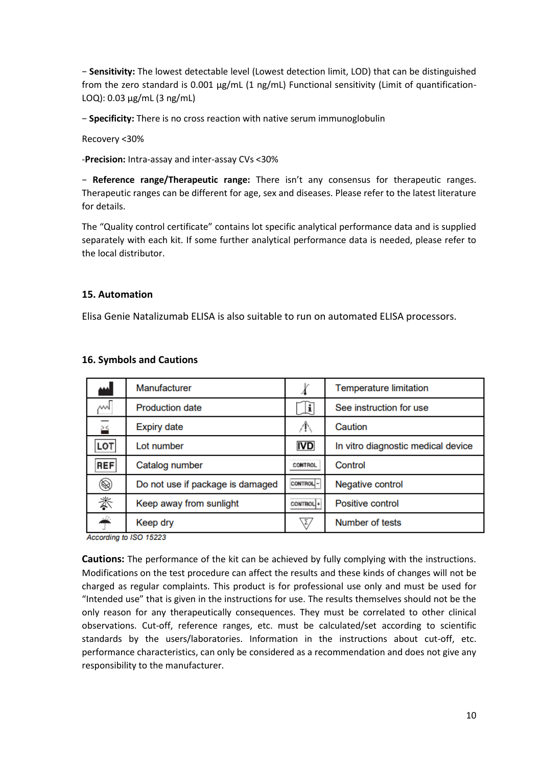− **Sensitivity:** The lowest detectable level (Lowest detection limit, LOD) that can be distinguished from the zero standard is 0.001 µg/mL (1 ng/mL) Functional sensitivity (Limit of quantification-LOQ): 0.03 µg/mL (3 ng/mL)

− **Specificity:** There is no cross reaction with native serum immunoglobulin

Recovery <30%

-**Precision:** Intra-assay and inter-assay CVs <30%

− **Reference range/Therapeutic range:** There isn't any consensus for therapeutic ranges. Therapeutic ranges can be different for age, sex and diseases. Please refer to the latest literature for details.

The "Quality control certificate" contains lot specific analytical performance data and is supplied separately with each kit. If some further analytical performance data is needed, please refer to the local distributor.

#### **15. Automation**

Elisa Genie Natalizumab ELISA is also suitable to run on automated ELISA processors.

| w           | Manufacturer                     |            | <b>Temperature limitation</b>      |
|-------------|----------------------------------|------------|------------------------------------|
| ∼∿∏         | <b>Production date</b>           | <u>i</u>   | See instruction for use            |
| ≚           | <b>Expiry date</b>               | Ж          | Caution                            |
| <b>LOT</b>  | Lot number                       | <b>IVD</b> | In vitro diagnostic medical device |
| <b>REF</b>  | Catalog number                   | CONTROL    | Control                            |
| $\circledR$ | Do not use if package is damaged | CONTROL-   | Negative control                   |
| 漛           | Keep away from sunlight          | CONTROL +  | <b>Positive control</b>            |
| ╇           | Keep dry                         | ∖Σ∕        | Number of tests                    |

#### **16. Symbols and Cautions**

According to ISO 15223

**Cautions:** The performance of the kit can be achieved by fully complying with the instructions. Modifications on the test procedure can affect the results and these kinds of changes will not be charged as regular complaints. This product is for professional use only and must be used for "Intended use" that is given in the instructions for use. The results themselves should not be the only reason for any therapeutically consequences. They must be correlated to other clinical observations. Cut-off, reference ranges, etc. must be calculated/set according to scientific standards by the users/laboratories. Information in the instructions about cut-off, etc. performance characteristics, can only be considered as a recommendation and does not give any responsibility to the manufacturer.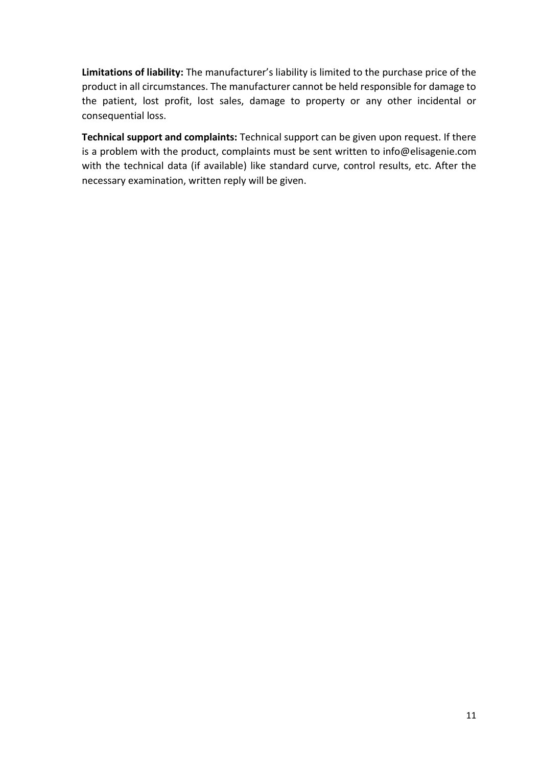**Limitations of liability:** The manufacturer's liability is limited to the purchase price of the product in all circumstances. The manufacturer cannot be held responsible for damage to the patient, lost profit, lost sales, damage to property or any other incidental or consequential loss.

**Technical support and complaints:** Technical support can be given upon request. If there is a problem with the product, complaints must be sent written to info@elisagenie.com with the technical data (if available) like standard curve, control results, etc. After the necessary examination, written reply will be given.